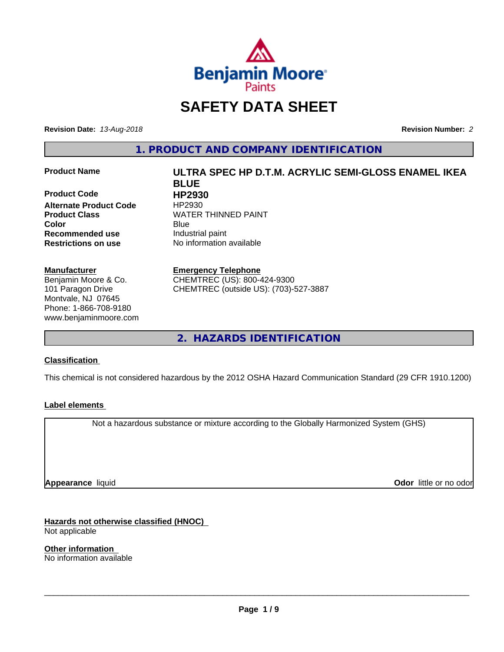

# **SAFETY DATA SHEET**

**Revision Date:** *13-Aug-2018* **Revision Number:** *2*

**1. PRODUCT AND COMPANY IDENTIFICATION**

**Product Code HP2930 Alternate Product Code** HP2930 **Recommended use** Industrial paint **Restrictions on use** No information available

#### **Manufacturer**

Benjamin Moore & Co. 101 Paragon Drive Montvale, NJ 07645 Phone: 1-866-708-9180 www.benjaminmoore.com

# **Product Name ULTRA SPEC HP D.T.M. ACRYLIC SEMI-GLOSS ENAMEL IKEA BLUE Product Class WATER THINNED PAINT Color** Blue Blue

### **Emergency Telephone**

CHEMTREC (US): 800-424-9300 CHEMTREC (outside US): (703)-527-3887

**2. HAZARDS IDENTIFICATION**

## **Classification**

This chemical is not considered hazardous by the 2012 OSHA Hazard Communication Standard (29 CFR 1910.1200)

## **Label elements**

Not a hazardous substance or mixture according to the Globally Harmonized System (GHS)

**Appearance** liquid

**Odor** little or no odor

**Hazards not otherwise classified (HNOC)** Not applicable

**Other information** No information available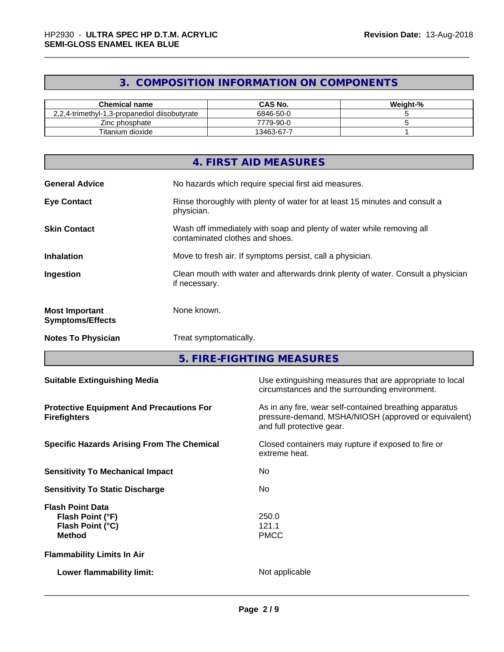# **3. COMPOSITION INFORMATION ON COMPONENTS**

| <b>Chemical name</b>                          | <b>CAS No.</b> | Weight-% |
|-----------------------------------------------|----------------|----------|
| 2,2,4-trimethyl-1,3-propanediol diisobutyrate | 6846-50-0      |          |
| –.<br>Zinc phosphate                          | 7779-90-0      |          |
| Titanium dioxide                              | 13463-67-7     |          |

|                                                  | 4. FIRST AID MEASURES                                                                                    |
|--------------------------------------------------|----------------------------------------------------------------------------------------------------------|
| <b>General Advice</b>                            | No hazards which require special first aid measures.                                                     |
| <b>Eye Contact</b>                               | Rinse thoroughly with plenty of water for at least 15 minutes and consult a<br>physician.                |
| <b>Skin Contact</b>                              | Wash off immediately with soap and plenty of water while removing all<br>contaminated clothes and shoes. |
| <b>Inhalation</b>                                | Move to fresh air. If symptoms persist, call a physician.                                                |
| Ingestion                                        | Clean mouth with water and afterwards drink plenty of water. Consult a physician<br>if necessary.        |
| <b>Most Important</b><br><b>Symptoms/Effects</b> | None known.                                                                                              |
| <b>Notes To Physician</b>                        | Treat symptomatically.                                                                                   |

**5. FIRE-FIGHTING MEASURES**

| <b>Suitable Extinguishing Media</b>                                              | Use extinguishing measures that are appropriate to local<br>circumstances and the surrounding environment.                                   |
|----------------------------------------------------------------------------------|----------------------------------------------------------------------------------------------------------------------------------------------|
| <b>Protective Equipment And Precautions For</b><br><b>Firefighters</b>           | As in any fire, wear self-contained breathing apparatus<br>pressure-demand, MSHA/NIOSH (approved or equivalent)<br>and full protective gear. |
| <b>Specific Hazards Arising From The Chemical</b>                                | Closed containers may rupture if exposed to fire or<br>extreme heat.                                                                         |
| <b>Sensitivity To Mechanical Impact</b>                                          | No.                                                                                                                                          |
| <b>Sensitivity To Static Discharge</b>                                           | No.                                                                                                                                          |
| <b>Flash Point Data</b><br>Flash Point (°F)<br>Flash Point (°C)<br><b>Method</b> | 250.0<br>121.1<br><b>PMCC</b>                                                                                                                |
| <b>Flammability Limits In Air</b>                                                |                                                                                                                                              |
| Lower flammability limit:                                                        | Not applicable                                                                                                                               |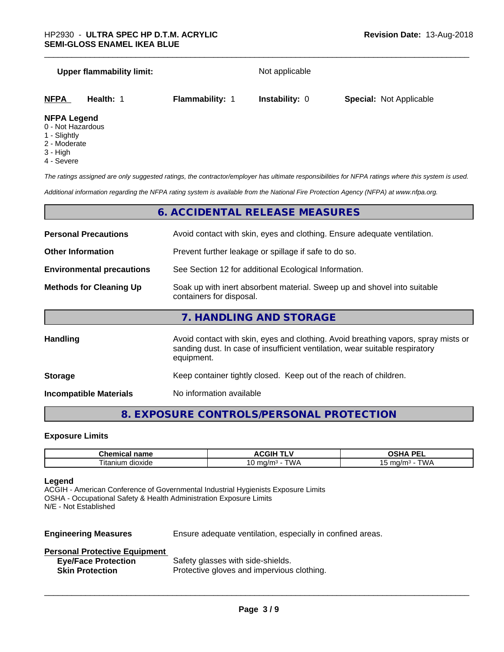#### **Upper flammability limit:** Not applicable

**NFPA Health:** 1 **Flammability:** 1 **Instability:** 0 **Special:** Not Applicable

#### **NFPA Legend**

- 0 Not Hazardous
- 1 Slightly
- 2 Moderate
- 3 High
- 4 Severe

*The ratings assigned are only suggested ratings, the contractor/employer has ultimate responsibilities for NFPA ratings where this system is used.*

*Additional information regarding the NFPA rating system is available from the National Fire Protection Agency (NFPA) at www.nfpa.org.*

# **6. ACCIDENTAL RELEASE MEASURES**

**Storage** Keep container tightly closed. Keep out of the reach of children.

**Incompatible Materials** No information available

# **8. EXPOSURE CONTROLS/PERSONAL PROTECTION**

#### **Exposure Limits**

| ----<br>-------<br>ншсаг<br>παπιτ               | ----<br>. .<br>זוטטר        | <b>DEI</b><br>$\mathbf{r}$<br>-- |
|-------------------------------------------------|-----------------------------|----------------------------------|
| $\sim$<br>minm<br>∣itai<br>dioxide ^<br>,,,,,,, | ٦M.<br>$-1$<br>.na/m°<br>ັບ | $m \alpha/m$<br>' WL<br>، س      |

#### **Legend**

ACGIH - American Conference of Governmental Industrial Hygienists Exposure Limits OSHA - Occupational Safety & Health Administration Exposure Limits N/E - Not Established

**Engineering Measures** Ensure adequate ventilation, especially in confined areas.

 $\overline{\phantom{a}}$  ,  $\overline{\phantom{a}}$  ,  $\overline{\phantom{a}}$  ,  $\overline{\phantom{a}}$  ,  $\overline{\phantom{a}}$  ,  $\overline{\phantom{a}}$  ,  $\overline{\phantom{a}}$  ,  $\overline{\phantom{a}}$  ,  $\overline{\phantom{a}}$  ,  $\overline{\phantom{a}}$  ,  $\overline{\phantom{a}}$  ,  $\overline{\phantom{a}}$  ,  $\overline{\phantom{a}}$  ,  $\overline{\phantom{a}}$  ,  $\overline{\phantom{a}}$  ,  $\overline{\phantom{a}}$ 

#### **Personal Protective Equipment**

| <b>Eye/Face Protection</b> | Safety glasses with side-shields.          |
|----------------------------|--------------------------------------------|
| <b>Skin Protection</b>     | Protective gloves and impervious clothing. |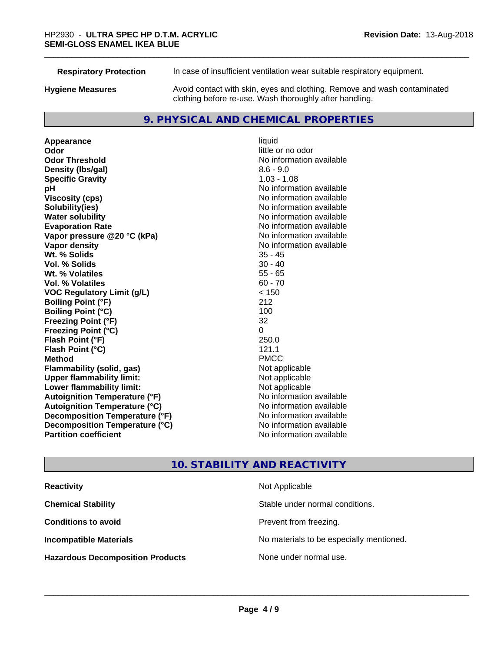**Respiratory Protection** In case of insufficient ventilation wear suitable respiratory equipment.

**Hygiene Measures** Avoid contact with skin, eyes and clothing. Remove and wash contaminated clothing before re-use. Wash thoroughly after handling.

# **9. PHYSICAL AND CHEMICAL PROPERTIES**

**Appearance** liquid **Odor** little or no odor **Odor Threshold** No information available **Density (Ibs/gal)** 8.6 - 9.0 **Specific Gravity** 1.03 - 1.08 **pH** No information available **Viscosity (cps)** No information available **Solubility(ies)** No information available **Evaporation Rate No information available No information available Vapor pressure @20 °C (kPa)** No information available **Vapor density No information available No** information available **Wt. % Solids** 35 - 45 **Vol. % Solids Wt. % Volatiles** 55 - 65 **Vol. % Volatiles** 60 - 70 **VOC Regulatory Limit (g/L)** < 150 **Boiling Point (°F)** 212 **Boiling Point (°C)** 100 **Freezing Point (°F)** 32 **Freezing Point (°C)** 0 **Flash Point (°F) Flash Point (°C)** 121.1 **Method** PMCC **Flammability (solid, gas)** Not applicable<br> **Upper flammability limit:** Not applicable **Upper flammability limit: Lower flammability limit:** Not applicable **Autoignition Temperature (°F)** No information available **Autoignition Temperature (°C)** No information available **Decomposition Temperature (°F)** No information available **Decomposition Temperature (°C)** No information available **Partition coefficient Contract Contract Contract Contract Contract Contract Contract Contract Contract Contract Contract Contract Contract Contract Contract Contract Contract Contract Contract Contract Contract Contract** 

**No information available** 

# **10. STABILITY AND REACTIVITY**

| <b>Reactivity</b>                       | Not Applicable                           |
|-----------------------------------------|------------------------------------------|
| <b>Chemical Stability</b>               | Stable under normal conditions.          |
| <b>Conditions to avoid</b>              | Prevent from freezing.                   |
| <b>Incompatible Materials</b>           | No materials to be especially mentioned. |
| <b>Hazardous Decomposition Products</b> | None under normal use.                   |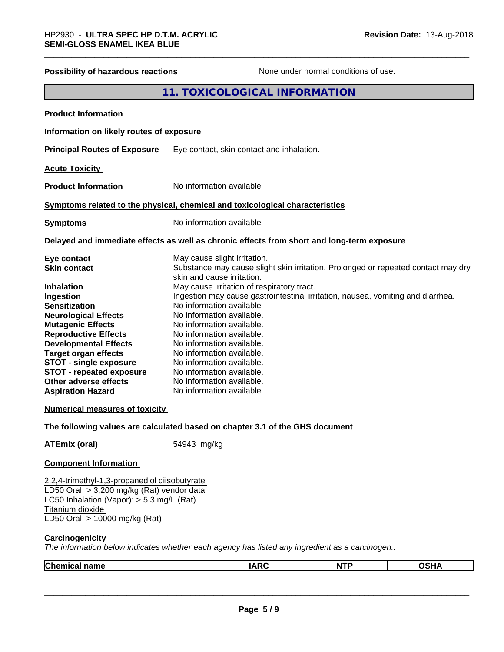| Possibility of hazardous reactions                                                                                                                                                                                                                                                                                                                                                                                                                                                                      |             |                                                                                                                                                                                                                                                                                                                                                                                                                                                                                             | None under normal conditions of use. |                                                                                   |
|---------------------------------------------------------------------------------------------------------------------------------------------------------------------------------------------------------------------------------------------------------------------------------------------------------------------------------------------------------------------------------------------------------------------------------------------------------------------------------------------------------|-------------|---------------------------------------------------------------------------------------------------------------------------------------------------------------------------------------------------------------------------------------------------------------------------------------------------------------------------------------------------------------------------------------------------------------------------------------------------------------------------------------------|--------------------------------------|-----------------------------------------------------------------------------------|
|                                                                                                                                                                                                                                                                                                                                                                                                                                                                                                         |             | 11. TOXICOLOGICAL INFORMATION                                                                                                                                                                                                                                                                                                                                                                                                                                                               |                                      |                                                                                   |
| <b>Product Information</b>                                                                                                                                                                                                                                                                                                                                                                                                                                                                              |             |                                                                                                                                                                                                                                                                                                                                                                                                                                                                                             |                                      |                                                                                   |
| Information on likely routes of exposure                                                                                                                                                                                                                                                                                                                                                                                                                                                                |             |                                                                                                                                                                                                                                                                                                                                                                                                                                                                                             |                                      |                                                                                   |
| <b>Principal Routes of Exposure</b>                                                                                                                                                                                                                                                                                                                                                                                                                                                                     |             | Eye contact, skin contact and inhalation.                                                                                                                                                                                                                                                                                                                                                                                                                                                   |                                      |                                                                                   |
| <b>Acute Toxicity</b>                                                                                                                                                                                                                                                                                                                                                                                                                                                                                   |             |                                                                                                                                                                                                                                                                                                                                                                                                                                                                                             |                                      |                                                                                   |
| <b>Product Information</b>                                                                                                                                                                                                                                                                                                                                                                                                                                                                              |             | No information available                                                                                                                                                                                                                                                                                                                                                                                                                                                                    |                                      |                                                                                   |
| Symptoms related to the physical, chemical and toxicological characteristics                                                                                                                                                                                                                                                                                                                                                                                                                            |             |                                                                                                                                                                                                                                                                                                                                                                                                                                                                                             |                                      |                                                                                   |
| <b>Symptoms</b>                                                                                                                                                                                                                                                                                                                                                                                                                                                                                         |             | No information available                                                                                                                                                                                                                                                                                                                                                                                                                                                                    |                                      |                                                                                   |
| Delayed and immediate effects as well as chronic effects from short and long-term exposure                                                                                                                                                                                                                                                                                                                                                                                                              |             |                                                                                                                                                                                                                                                                                                                                                                                                                                                                                             |                                      |                                                                                   |
| Eye contact<br><b>Skin contact</b><br><b>Inhalation</b><br>Ingestion<br><b>Sensitization</b><br><b>Neurological Effects</b><br><b>Mutagenic Effects</b><br><b>Reproductive Effects</b><br><b>Developmental Effects</b><br><b>Target organ effects</b><br><b>STOT - single exposure</b><br><b>STOT - repeated exposure</b><br>Other adverse effects<br><b>Aspiration Hazard</b><br><b>Numerical measures of toxicity</b><br>The following values are calculated based on chapter 3.1 of the GHS document |             | May cause slight irritation.<br>skin and cause irritation.<br>May cause irritation of respiratory tract.<br>Ingestion may cause gastrointestinal irritation, nausea, vomiting and diarrhea.<br>No information available<br>No information available.<br>No information available.<br>No information available.<br>No information available.<br>No information available.<br>No information available.<br>No information available.<br>No information available.<br>No information available |                                      | Substance may cause slight skin irritation. Prolonged or repeated contact may dry |
|                                                                                                                                                                                                                                                                                                                                                                                                                                                                                                         |             |                                                                                                                                                                                                                                                                                                                                                                                                                                                                                             |                                      |                                                                                   |
| <b>ATEmix (oral)</b><br><b>Component Information</b>                                                                                                                                                                                                                                                                                                                                                                                                                                                    | 54943 mg/kg |                                                                                                                                                                                                                                                                                                                                                                                                                                                                                             |                                      |                                                                                   |
| 2,2,4-trimethyl-1,3-propanediol diisobutyrate<br>LD50 Oral: > 3,200 mg/kg (Rat) vendor data<br>LC50 Inhalation (Vapor): $> 5.3$ mg/L (Rat)<br>Titanium dioxide<br>LD50 Oral: > 10000 mg/kg (Rat)                                                                                                                                                                                                                                                                                                        |             |                                                                                                                                                                                                                                                                                                                                                                                                                                                                                             |                                      |                                                                                   |
| Carcinogenicity<br>The information below indicates whether each agency has listed any ingredient as a carcinogen:.                                                                                                                                                                                                                                                                                                                                                                                      |             |                                                                                                                                                                                                                                                                                                                                                                                                                                                                                             |                                      |                                                                                   |
| Chemical name                                                                                                                                                                                                                                                                                                                                                                                                                                                                                           |             | <b>IARC</b>                                                                                                                                                                                                                                                                                                                                                                                                                                                                                 | <b>NTP</b>                           | <b>OSHA</b>                                                                       |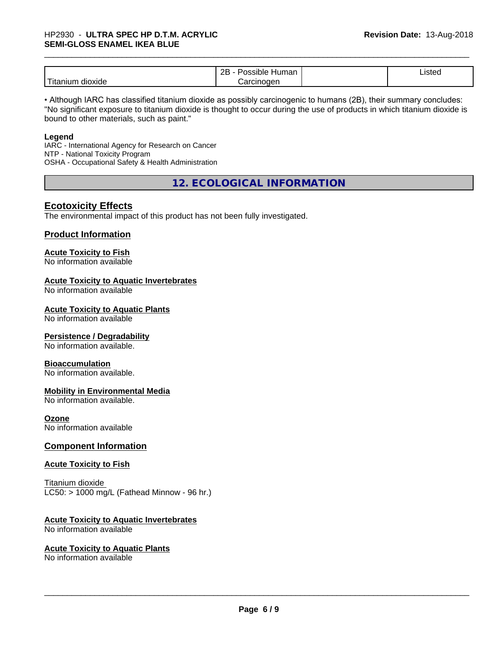# \_\_\_\_\_\_\_\_\_\_\_\_\_\_\_\_\_\_\_\_\_\_\_\_\_\_\_\_\_\_\_\_\_\_\_\_\_\_\_\_\_\_\_\_\_\_\_\_\_\_\_\_\_\_\_\_\_\_\_\_\_\_\_\_\_\_\_\_\_\_\_\_\_\_\_\_\_\_\_\_\_\_\_\_\_\_\_\_\_\_\_\_\_ HP2930 - **ULTRA SPEC HP D.T.M. ACRYLIC SEMI-GLOSS ENAMEL IKEA BLUE**

|                           | റല<br>Humar<br>,,,,, <del>,</del><br><u>_ _</u> | Listed |  |
|---------------------------|-------------------------------------------------|--------|--|
| .<br>dioxide<br>l itanıun | 'oroinoaon<br>,,,,,                             |        |  |

• Although IARC has classified titanium dioxide as possibly carcinogenic to humans (2B), their summary concludes: "No significant exposure to titanium dioxide is thought to occur during the use of products in which titanium dioxide is bound to other materials, such as paint."

#### **Legend**

IARC - International Agency for Research on Cancer NTP - National Toxicity Program OSHA - Occupational Safety & Health Administration

**12. ECOLOGICAL INFORMATION**

# **Ecotoxicity Effects**

The environmental impact of this product has not been fully investigated.

## **Product Information**

#### **Acute Toxicity to Fish**

No information available

#### **Acute Toxicity to Aquatic Invertebrates**

No information available

#### **Acute Toxicity to Aquatic Plants**

No information available

#### **Persistence / Degradability**

No information available.

#### **Bioaccumulation**

No information available.

#### **Mobility in Environmental Media**

No information available.

### **Ozone**

No information available

## **Component Information**

#### **Acute Toxicity to Fish**

Titanium dioxide  $LC50:$  > 1000 mg/L (Fathead Minnow - 96 hr.)

#### **Acute Toxicity to Aquatic Invertebrates**

No information available

#### **Acute Toxicity to Aquatic Plants**

No information available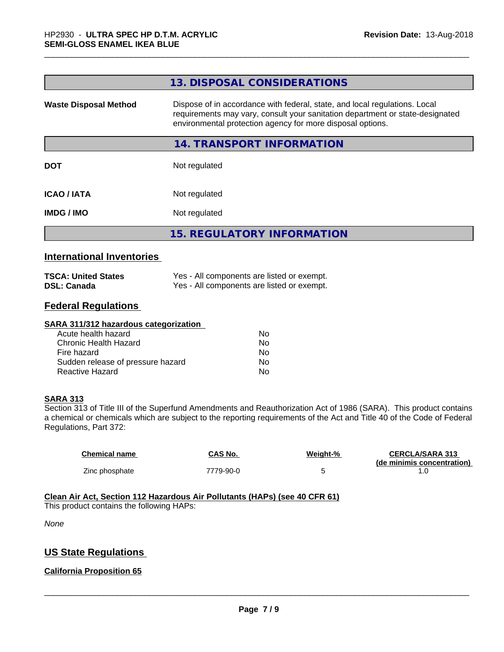|                              | 13. DISPOSAL CONSIDERATIONS                                                                                                                                                                                               |
|------------------------------|---------------------------------------------------------------------------------------------------------------------------------------------------------------------------------------------------------------------------|
| <b>Waste Disposal Method</b> | Dispose of in accordance with federal, state, and local regulations. Local<br>requirements may vary, consult your sanitation department or state-designated<br>environmental protection agency for more disposal options. |
|                              | 14. TRANSPORT INFORMATION                                                                                                                                                                                                 |
| <b>DOT</b>                   | Not regulated                                                                                                                                                                                                             |
| <b>ICAO/IATA</b>             | Not regulated                                                                                                                                                                                                             |
| <b>IMDG/IMO</b>              | Not regulated                                                                                                                                                                                                             |
|                              | <b>15. REGULATORY INFORMATION</b>                                                                                                                                                                                         |
|                              |                                                                                                                                                                                                                           |

# **International Inventories**

| <b>TSCA: United States</b> | Yes - All components are listed or exempt. |
|----------------------------|--------------------------------------------|
| <b>DSL: Canada</b>         | Yes - All components are listed or exempt. |

# **Federal Regulations**

#### **SARA 311/312 hazardous categorization**

| Acute health hazard               | No. |  |
|-----------------------------------|-----|--|
| Chronic Health Hazard             | Nο  |  |
| Fire hazard                       | No. |  |
| Sudden release of pressure hazard | Nο  |  |
| Reactive Hazard                   | Nο  |  |

#### **SARA 313**

Section 313 of Title III of the Superfund Amendments and Reauthorization Act of 1986 (SARA). This product contains a chemical or chemicals which are subject to the reporting requirements of the Act and Title 40 of the Code of Federal Regulations, Part 372:

| Chemical name  | CAS No.   | Weiaht-% | <b>CERCLA/SARA 313</b>     |
|----------------|-----------|----------|----------------------------|
|                |           |          | (de minimis concentration) |
| Zinc phosphate | 7779-90-0 |          |                            |

#### **Clean Air Act,Section 112 Hazardous Air Pollutants (HAPs) (see 40 CFR 61)** This product contains the following HAPs:

*None*

# **US State Regulations**

# **California Proposition 65**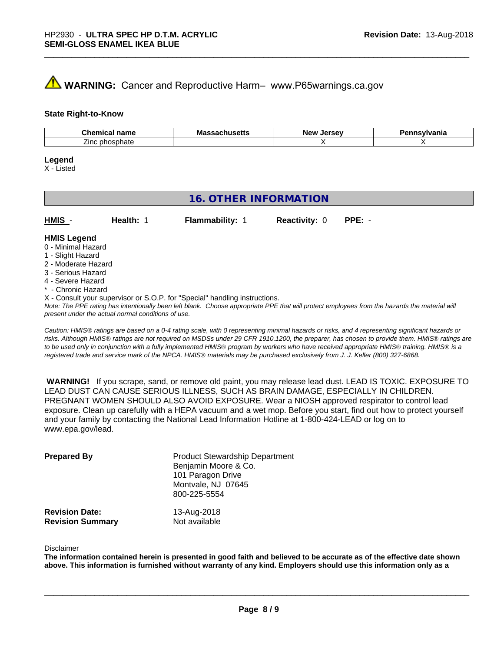# **A** WARNING: Cancer and Reproductive Harm– www.P65warnings.ca.gov

#### **State Right-to-Know**

| $\sim$<br>---<br>name<br><br>۱۳ مه                       | л -<br>шо<br>つししこ | <b>Nev</b> | . |
|----------------------------------------------------------|-------------------|------------|---|
| $\overline{\phantom{a}}$<br>--<br>∠ınc<br>าosphate<br>nn |                   |            |   |

#### **Legend**

X - Listed

| Health: 1<br>$PPE: -$<br>HMIS -<br><b>Flammability: 1</b><br><b>Reactivity: 0</b><br><b>HMIS Legend</b><br>0 - Minimal Hazard                                                                                                                                                                                                                                             | <b>16. OTHER INFORMATION</b> |  |  |  |  |  |
|---------------------------------------------------------------------------------------------------------------------------------------------------------------------------------------------------------------------------------------------------------------------------------------------------------------------------------------------------------------------------|------------------------------|--|--|--|--|--|
|                                                                                                                                                                                                                                                                                                                                                                           |                              |  |  |  |  |  |
| 2 - Moderate Hazard<br>3 - Serious Hazard<br>4 - Severe Hazard<br>* - Chronic Hazard<br>X - Consult your supervisor or S.O.P. for "Special" handling instructions.<br>Note: The PPE rating has intentionally been left blank. Choose appropriate PPE that will protect employees from the hazards the material will<br>present under the actual normal conditions of use. | 1 - Slight Hazard            |  |  |  |  |  |

*Caution: HMISÒ ratings are based on a 0-4 rating scale, with 0 representing minimal hazards or risks, and 4 representing significant hazards or risks. Although HMISÒ ratings are not required on MSDSs under 29 CFR 1910.1200, the preparer, has chosen to provide them. HMISÒ ratings are to be used only in conjunction with a fully implemented HMISÒ program by workers who have received appropriate HMISÒ training. HMISÒ is a registered trade and service mark of the NPCA. HMISÒ materials may be purchased exclusively from J. J. Keller (800) 327-6868.*

 **WARNING!** If you scrape, sand, or remove old paint, you may release lead dust. LEAD IS TOXIC. EXPOSURE TO LEAD DUST CAN CAUSE SERIOUS ILLNESS, SUCH AS BRAIN DAMAGE, ESPECIALLY IN CHILDREN. PREGNANT WOMEN SHOULD ALSO AVOID EXPOSURE.Wear a NIOSH approved respirator to control lead exposure. Clean up carefully with a HEPA vacuum and a wet mop. Before you start, find out how to protect yourself and your family by contacting the National Lead Information Hotline at 1-800-424-LEAD or log on to www.epa.gov/lead.

| <b>Prepared By</b>      | <b>Product Stewardship Department</b><br>Benjamin Moore & Co.<br>101 Paragon Drive<br>Montvale, NJ 07645<br>800-225-5554 |
|-------------------------|--------------------------------------------------------------------------------------------------------------------------|
| <b>Revision Date:</b>   | 13-Aug-2018                                                                                                              |
| <b>Revision Summary</b> | Not available                                                                                                            |

#### Disclaimer

The information contained herein is presented in good faith and believed to be accurate as of the effective date shown above. This information is furnished without warranty of any kind. Employers should use this information only as a